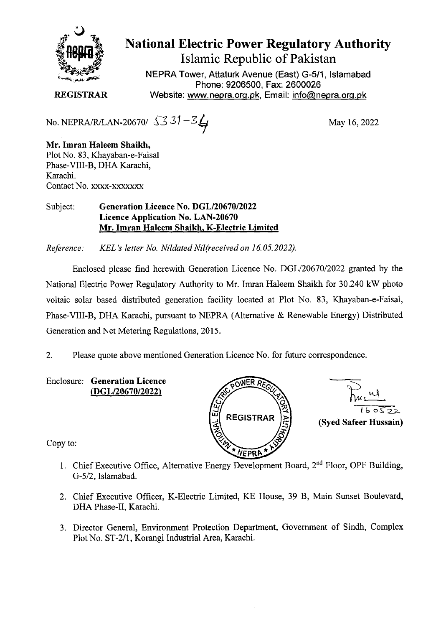

# **National Electric Power Regulatory Authority Islamic Republic of Pakistan**

NEPRA Tower, Attaturk Avenue (East) G-511, Islamabad Phone: 9206500, Fax: 2600026 **REGISTRAR** Website: www.nepra.org.pk, Email: info@nepra.org.pk

No. NEPRA/R/LAN-20670/  $\sqrt{3}31 - 3$ 

**Mr. Imran Haleem Shaikh,**  Plot No. 83, Khayaban-e-Faisal Phase-VIII-B, DHA Karachi, Karachi. Contact No. xxxx-xxxxxxx

#### Subject: **Generation Licence No.** *DGL/2067012022*  **Licence Application No. LAN-20670 Mr. Imran Haleem Shaikh, K-Electric Limited**

*Reference.' KEL 's letter No. Nildated Nil(received on 16.05.2022).* 

Enclosed please find herewith Generation Licence No. DGL/20670/2022 granted by the National Electric Power Regulatory Authority to Mr. Imran Haleem Shaikh for 30.240 kW photo voltaic solar based distributed generation facility located at Plot No. 83, Khayaban-e-Faisal, Phase-VIII-B, DHA Karachi, pursuant to NEPRA (Alternative & Renewable Energy) Distributed Generation and Net Metering Regulations, 2015.

2. Please quote above mentioned Generation Licence No. for future correspondence.

Enclosure: **Generation Licence 0 ER** <sup>R</sup> *(DGL12067012022)* -





Copy to:

- 1. Chief Executive Office, Alternative Energy Development Board, 2nd Floor, OPF Building, *G-512,* Islamabad.
- 2. Chief Executive Officer, K-Electric Limited, KE House, 39 B, Main Sunset Boulevard, DHA Phase-IT, Karachi.
- 3. Director General, Environment Protection Department, Government of Sindh, Complex Plot No. ST-2/1, Korangi Industrial Area, Karachi.